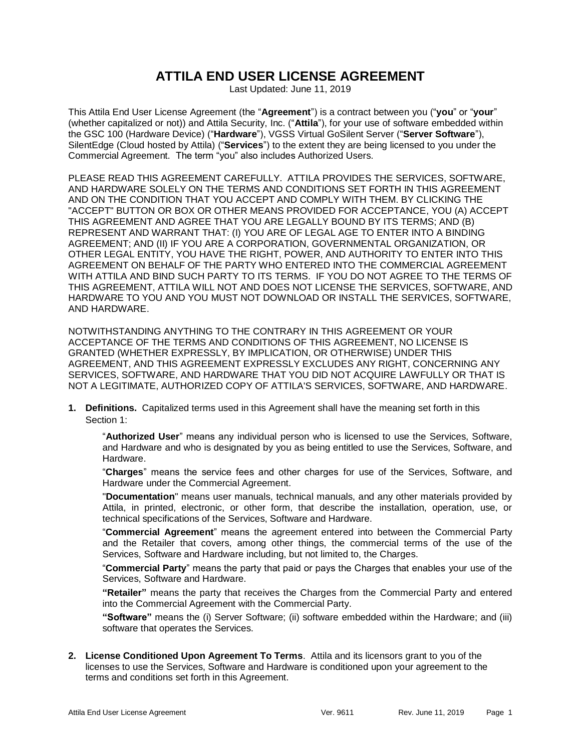## **ATTILA END USER LICENSE AGREEMENT**

Last Updated: June 11, 2019

This Attila End User License Agreement (the "**Agreement**") is a contract between you ("**you**" or "**your**" (whether capitalized or not)) and Attila Security, Inc. ("**Attila**"), for your use of software embedded within the GSC 100 (Hardware Device) ("**Hardware**"), VGSS Virtual GoSilent Server ("**Server Software**"), SilentEdge (Cloud hosted by Attila) ("**Services**") to the extent they are being licensed to you under the Commercial Agreement. The term "you" also includes Authorized Users.

PLEASE READ THIS AGREEMENT CAREFULLY. ATTILA PROVIDES THE SERVICES, SOFTWARE, AND HARDWARE SOLELY ON THE TERMS AND CONDITIONS SET FORTH IN THIS AGREEMENT AND ON THE CONDITION THAT YOU ACCEPT AND COMPLY WITH THEM. BY CLICKING THE "ACCEPT" BUTTON OR BOX OR OTHER MEANS PROVIDED FOR ACCEPTANCE, YOU (A) ACCEPT THIS AGREEMENT AND AGREE THAT YOU ARE LEGALLY BOUND BY ITS TERMS; AND (B) REPRESENT AND WARRANT THAT: (I) YOU ARE OF LEGAL AGE TO ENTER INTO A BINDING AGREEMENT; AND (II) IF YOU ARE A CORPORATION, GOVERNMENTAL ORGANIZATION, OR OTHER LEGAL ENTITY, YOU HAVE THE RIGHT, POWER, AND AUTHORITY TO ENTER INTO THIS AGREEMENT ON BEHALF OF THE PARTY WHO ENTERED INTO THE COMMERCIAL AGREEMENT WITH ATTILA AND BIND SUCH PARTY TO ITS TERMS. IF YOU DO NOT AGREE TO THE TERMS OF THIS AGREEMENT, ATTILA WILL NOT AND DOES NOT LICENSE THE SERVICES, SOFTWARE, AND HARDWARE TO YOU AND YOU MUST NOT DOWNLOAD OR INSTALL THE SERVICES, SOFTWARE, AND HARDWARE.

NOTWITHSTANDING ANYTHING TO THE CONTRARY IN THIS AGREEMENT OR YOUR ACCEPTANCE OF THE TERMS AND CONDITIONS OF THIS AGREEMENT, NO LICENSE IS GRANTED (WHETHER EXPRESSLY, BY IMPLICATION, OR OTHERWISE) UNDER THIS AGREEMENT, AND THIS AGREEMENT EXPRESSLY EXCLUDES ANY RIGHT, CONCERNING ANY SERVICES, SOFTWARE, AND HARDWARE THAT YOU DID NOT ACQUIRE LAWFULLY OR THAT IS NOT A LEGITIMATE, AUTHORIZED COPY OF ATTILA'S SERVICES, SOFTWARE, AND HARDWARE.

<span id="page-0-0"></span>**1. Definitions.** Capitalized terms used in this Agreement shall have the meaning set forth in this Section [1:](#page-0-0)

"**Authorized User**" means any individual person who is licensed to use the Services, Software, and Hardware and who is designated by you as being entitled to use the Services, Software, and Hardware.

"**Charges**" means the service fees and other charges for use of the Services, Software, and Hardware under the Commercial Agreement.

"**Documentation**" means user manuals, technical manuals, and any other materials provided by Attila, in printed, electronic, or other form, that describe the installation, operation, use, or technical specifications of the Services, Software and Hardware.

"**Commercial Agreement**" means the agreement entered into between the Commercial Party and the Retailer that covers, among other things, the commercial terms of the use of the Services, Software and Hardware including, but not limited to, the Charges.

"**Commercial Party**" means the party that paid or pays the Charges that enables your use of the Services, Software and Hardware.

**"Retailer"** means the party that receives the Charges from the Commercial Party and entered into the Commercial Agreement with the Commercial Party.

**"Software"** means the (i) Server Software; (ii) software embedded within the Hardware; and (iii) software that operates the Services.

**2. License Conditioned Upon Agreement To Terms**. Attila and its licensors grant to you of the licenses to use the Services, Software and Hardware is conditioned upon your agreement to the terms and conditions set forth in this Agreement.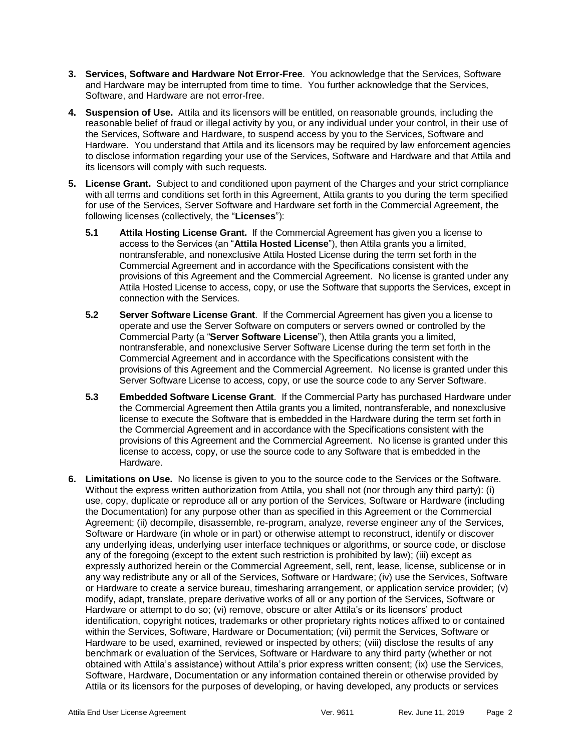- **3. Services, Software and Hardware Not Error-Free**. You acknowledge that the Services, Software and Hardware may be interrupted from time to time. You further acknowledge that the Services, Software, and Hardware are not error-free.
- **4. Suspension of Use.** Attila and its licensors will be entitled, on reasonable grounds, including the reasonable belief of fraud or illegal activity by you, or any individual under your control, in their use of the Services, Software and Hardware, to suspend access by you to the Services, Software and Hardware. You understand that Attila and its licensors may be required by law enforcement agencies to disclose information regarding your use of the Services, Software and Hardware and that Attila and its licensors will comply with such requests.
- <span id="page-1-0"></span>**5. License Grant.** Subject to and conditioned upon payment of the Charges and your strict compliance with all terms and conditions set forth in this Agreement, Attila grants to you during the term specified for use of the Services, Server Software and Hardware set forth in the Commercial Agreement, the following licenses (collectively, the "**Licenses**"):
	- **5.1 Attila Hosting License Grant.** If the Commercial Agreement has given you a license to access to the Services (an "**Attila Hosted License**"), then Attila grants you a limited, nontransferable, and nonexclusive Attila Hosted License during the term set forth in the Commercial Agreement and in accordance with the Specifications consistent with the provisions of this Agreement and the Commercial Agreement. No license is granted under any Attila Hosted License to access, copy, or use the Software that supports the Services, except in connection with the Services.
	- **5.2 Server Software License Grant**. If the Commercial Agreement has given you a license to operate and use the Server Software on computers or servers owned or controlled by the Commercial Party (a "**Server Software License**"), then Attila grants you a limited, nontransferable, and nonexclusive Server Software License during the term set forth in the Commercial Agreement and in accordance with the Specifications consistent with the provisions of this Agreement and the Commercial Agreement. No license is granted under this Server Software License to access, copy, or use the source code to any Server Software.
	- **5.3 Embedded Software License Grant**. If the Commercial Party has purchased Hardware under the Commercial Agreement then Attila grants you a limited, nontransferable, and nonexclusive license to execute the Software that is embedded in the Hardware during the term set forth in the Commercial Agreement and in accordance with the Specifications consistent with the provisions of this Agreement and the Commercial Agreement. No license is granted under this license to access, copy, or use the source code to any Software that is embedded in the Hardware.
- <span id="page-1-1"></span>**6. Limitations on Use.** No license is given to you to the source code to the Services or the Software. Without the express written authorization from Attila, you shall not (nor through any third party): (i) use, copy, duplicate or reproduce all or any portion of the Services, Software or Hardware (including the Documentation) for any purpose other than as specified in this Agreement or the Commercial Agreement; (ii) decompile, disassemble, re-program, analyze, reverse engineer any of the Services, Software or Hardware (in whole or in part) or otherwise attempt to reconstruct, identify or discover any underlying ideas, underlying user interface techniques or algorithms, or source code, or disclose any of the foregoing (except to the extent such restriction is prohibited by law); (iii) except as expressly authorized herein or the Commercial Agreement, sell, rent, lease, license, sublicense or in any way redistribute any or all of the Services, Software or Hardware; (iv) use the Services, Software or Hardware to create a service bureau, timesharing arrangement, or application service provider; (v) modify, adapt, translate, prepare derivative works of all or any portion of the Services, Software or Hardware or attempt to do so; (vi) remove, obscure or alter Attila's or its licensors' product identification, copyright notices, trademarks or other proprietary rights notices affixed to or contained within the Services, Software, Hardware or Documentation; (vii) permit the Services, Software or Hardware to be used, examined, reviewed or inspected by others; (viii) disclose the results of any benchmark or evaluation of the Services, Software or Hardware to any third party (whether or not obtained with Attila's assistance) without Attila's prior express written consent; (ix) use the Services, Software, Hardware, Documentation or any information contained therein or otherwise provided by Attila or its licensors for the purposes of developing, or having developed, any products or services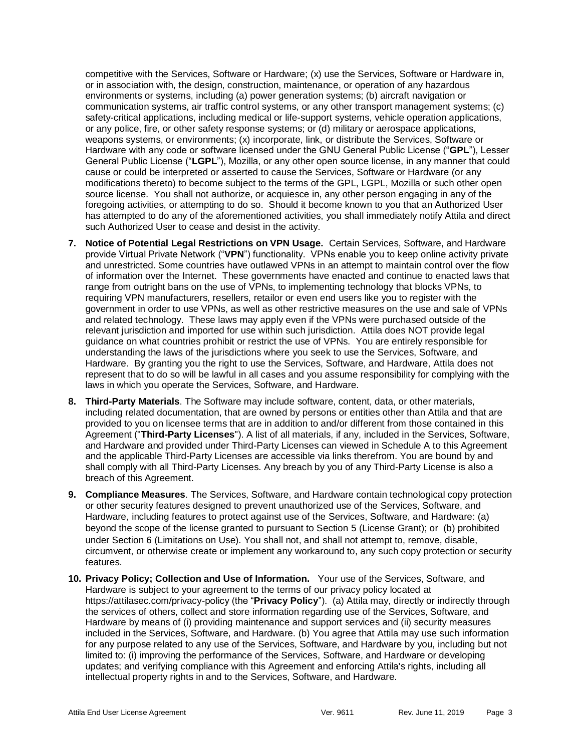competitive with the Services, Software or Hardware; (x) use the Services, Software or Hardware in, or in association with, the design, construction, maintenance, or operation of any hazardous environments or systems, including (a) power generation systems; (b) aircraft navigation or communication systems, air traffic control systems, or any other transport management systems; (c) safety-critical applications, including medical or life-support systems, vehicle operation applications, or any police, fire, or other safety response systems; or (d) military or aerospace applications, weapons systems, or environments; (x) incorporate, link, or distribute the Services, Software or Hardware with any code or software licensed under the GNU General Public License ("**GPL**"), Lesser General Public License ("**LGPL**"), Mozilla, or any other open source license, in any manner that could cause or could be interpreted or asserted to cause the Services, Software or Hardware (or any modifications thereto) to become subject to the terms of the GPL, LGPL, Mozilla or such other open source license. You shall not authorize, or acquiesce in, any other person engaging in any of the foregoing activities, or attempting to do so. Should it become known to you that an Authorized User has attempted to do any of the aforementioned activities, you shall immediately notify Attila and direct such Authorized User to cease and desist in the activity.

- **7. Notice of Potential Legal Restrictions on VPN Usage.** Certain Services, Software, and Hardware provide Virtual Private Network ("**VPN**") functionality. VPNs enable you to keep online activity private and unrestricted. Some countries have outlawed VPNs in an attempt to maintain control over the flow of information over the Internet. These governments have enacted and continue to enacted laws that range from outright bans on the use of VPNs, to implementing technology that blocks VPNs, to requiring VPN manufacturers, resellers, retailor or even end users like you to register with the government in order to use VPNs, as well as other restrictive measures on the use and sale of VPNs and related technology. These laws may apply even if the VPNs were purchased outside of the relevant jurisdiction and imported for use within such jurisdiction. Attila does NOT provide legal guidance on what countries prohibit or restrict the use of VPNs. You are entirely responsible for understanding the laws of the jurisdictions where you seek to use the Services, Software, and Hardware. By granting you the right to use the Services, Software, and Hardware, Attila does not represent that to do so will be lawful in all cases and you assume responsibility for complying with the laws in which you operate the Services, Software, and Hardware.
- **8. Third-Party Materials**. The Software may include software, content, data, or other materials, including related documentation, that are owned by persons or entities other than Attila and that are provided to you on licensee terms that are in addition to and/or different from those contained in this Agreement ("**Third-Party Licenses**"). A list of all materials, if any, included in the Services, Software, and Hardware and provided under Third-Party Licenses can viewed in Schedule A to this Agreement and the applicable Third-Party Licenses are accessible via links therefrom. You are bound by and shall comply with all Third-Party Licenses. Any breach by you of any Third-Party License is also a breach of this Agreement.
- **9. Compliance Measures**. The Services, Software, and Hardware contain technological copy protection or other security features designed to prevent unauthorized use of the Services, Software, and Hardware, including features to protect against use of the Services, Software, and Hardware: (a) beyond the scope of the license granted to pursuant to Section [5](#page-1-0) (License Grant); or (b) prohibited under Section [6](#page-1-1) (Limitations on Use). You shall not, and shall not attempt to, remove, disable, circumvent, or otherwise create or implement any workaround to, any such copy protection or security features.
- **10. Privacy Policy; Collection and Use of Information.** Your use of the Services, Software, and Hardware is subject to your agreement to the terms of our privacy policy located at https://attilasec.com/privacy-policy (the "**Privacy Policy**"). (a) Attila may, directly or indirectly through the services of others, collect and store information regarding use of the Services, Software, and Hardware by means of (i) providing maintenance and support services and (ii) security measures included in the Services, Software, and Hardware. (b) You agree that Attila may use such information for any purpose related to any use of the Services, Software, and Hardware by you, including but not limited to: (i) improving the performance of the Services, Software, and Hardware or developing updates; and verifying compliance with this Agreement and enforcing Attila's rights, including all intellectual property rights in and to the Services, Software, and Hardware.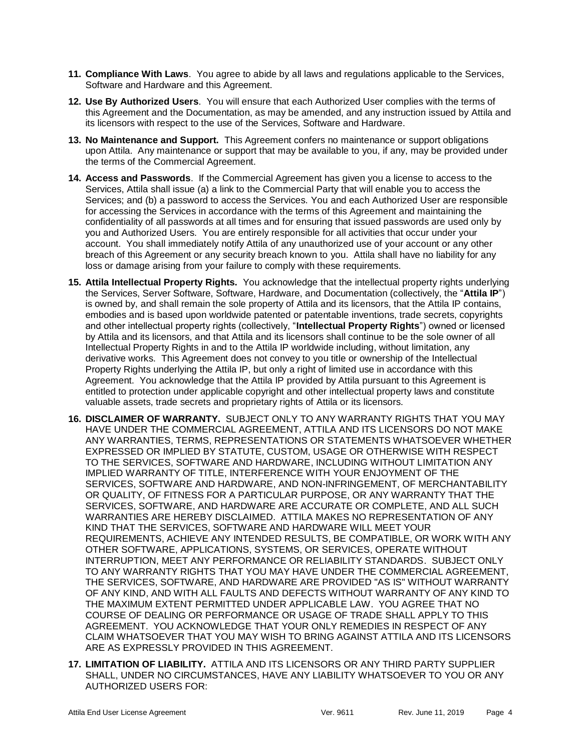- **11. Compliance With Laws**. You agree to abide by all laws and regulations applicable to the Services, Software and Hardware and this Agreement.
- **12. Use By Authorized Users**. You will ensure that each Authorized User complies with the terms of this Agreement and the Documentation, as may be amended, and any instruction issued by Attila and its licensors with respect to the use of the Services, Software and Hardware.
- **13. No Maintenance and Support.** This Agreement confers no maintenance or support obligations upon Attila. Any maintenance or support that may be available to you, if any, may be provided under the terms of the Commercial Agreement.
- **14. Access and Passwords**. If the Commercial Agreement has given you a license to access to the Services, Attila shall issue (a) a link to the Commercial Party that will enable you to access the Services; and (b) a password to access the Services. You and each Authorized User are responsible for accessing the Services in accordance with the terms of this Agreement and maintaining the confidentiality of all passwords at all times and for ensuring that issued passwords are used only by you and Authorized Users. You are entirely responsible for all activities that occur under your account. You shall immediately notify Attila of any unauthorized use of your account or any other breach of this Agreement or any security breach known to you. Attila shall have no liability for any loss or damage arising from your failure to comply with these requirements.
- **15. Attila Intellectual Property Rights.** You acknowledge that the intellectual property rights underlying the Services, Server Software, Software, Hardware, and Documentation (collectively, the "**Attila IP**") is owned by, and shall remain the sole property of Attila and its licensors, that the Attila IP contains, embodies and is based upon worldwide patented or patentable inventions, trade secrets, copyrights and other intellectual property rights (collectively, "**Intellectual Property Rights**") owned or licensed by Attila and its licensors, and that Attila and its licensors shall continue to be the sole owner of all Intellectual Property Rights in and to the Attila IP worldwide including, without limitation, any derivative works. This Agreement does not convey to you title or ownership of the Intellectual Property Rights underlying the Attila IP, but only a right of limited use in accordance with this Agreement. You acknowledge that the Attila IP provided by Attila pursuant to this Agreement is entitled to protection under applicable copyright and other intellectual property laws and constitute valuable assets, trade secrets and proprietary rights of Attila or its licensors.
- **16. DISCLAIMER OF WARRANTY.** SUBJECT ONLY TO ANY WARRANTY RIGHTS THAT YOU MAY HAVE UNDER THE COMMERCIAL AGREEMENT, ATTILA AND ITS LICENSORS DO NOT MAKE ANY WARRANTIES, TERMS, REPRESENTATIONS OR STATEMENTS WHATSOEVER WHETHER EXPRESSED OR IMPLIED BY STATUTE, CUSTOM, USAGE OR OTHERWISE WITH RESPECT TO THE SERVICES, SOFTWARE AND HARDWARE, INCLUDING WITHOUT LIMITATION ANY IMPLIED WARRANTY OF TITLE, INTERFERENCE WITH YOUR ENJOYMENT OF THE SERVICES, SOFTWARE AND HARDWARE, AND NON-INFRINGEMENT, OF MERCHANTABILITY OR QUALITY, OF FITNESS FOR A PARTICULAR PURPOSE, OR ANY WARRANTY THAT THE SERVICES, SOFTWARE, AND HARDWARE ARE ACCURATE OR COMPLETE, AND ALL SUCH WARRANTIES ARE HEREBY DISCLAIMED. ATTILA MAKES NO REPRESENTATION OF ANY KIND THAT THE SERVICES, SOFTWARE AND HARDWARE WILL MEET YOUR REQUIREMENTS, ACHIEVE ANY INTENDED RESULTS, BE COMPATIBLE, OR WORK WITH ANY OTHER SOFTWARE, APPLICATIONS, SYSTEMS, OR SERVICES, OPERATE WITHOUT INTERRUPTION, MEET ANY PERFORMANCE OR RELIABILITY STANDARDS. SUBJECT ONLY TO ANY WARRANTY RIGHTS THAT YOU MAY HAVE UNDER THE COMMERCIAL AGREEMENT, THE SERVICES, SOFTWARE, AND HARDWARE ARE PROVIDED "AS IS" WITHOUT WARRANTY OF ANY KIND, AND WITH ALL FAULTS AND DEFECTS WITHOUT WARRANTY OF ANY KIND TO THE MAXIMUM EXTENT PERMITTED UNDER APPLICABLE LAW. YOU AGREE THAT NO COURSE OF DEALING OR PERFORMANCE OR USAGE OF TRADE SHALL APPLY TO THIS AGREEMENT. YOU ACKNOWLEDGE THAT YOUR ONLY REMEDIES IN RESPECT OF ANY CLAIM WHATSOEVER THAT YOU MAY WISH TO BRING AGAINST ATTILA AND ITS LICENSORS ARE AS EXPRESSLY PROVIDED IN THIS AGREEMENT.
- **17. LIMITATION OF LIABILITY.** ATTILA AND ITS LICENSORS OR ANY THIRD PARTY SUPPLIER SHALL, UNDER NO CIRCUMSTANCES, HAVE ANY LIABILITY WHATSOEVER TO YOU OR ANY AUTHORIZED USERS FOR: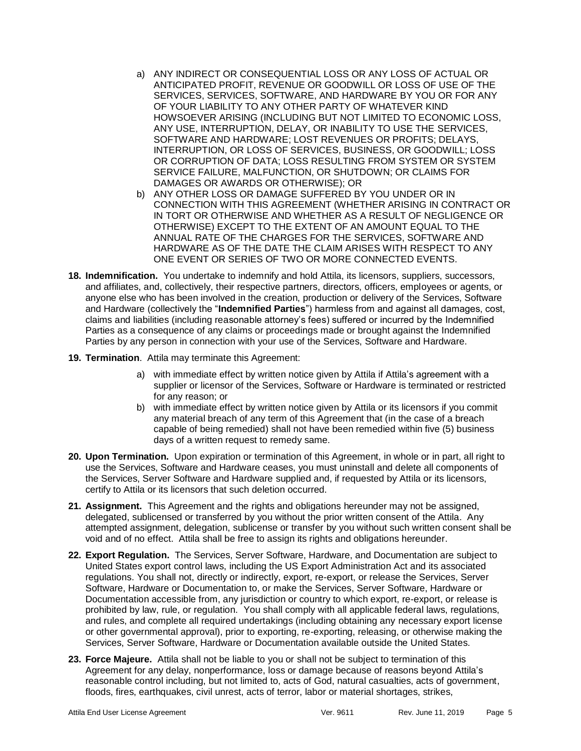- a) ANY INDIRECT OR CONSEQUENTIAL LOSS OR ANY LOSS OF ACTUAL OR ANTICIPATED PROFIT, REVENUE OR GOODWILL OR LOSS OF USE OF THE SERVICES, SERVICES, SOFTWARE, AND HARDWARE BY YOU OR FOR ANY OF YOUR LIABILITY TO ANY OTHER PARTY OF WHATEVER KIND HOWSOEVER ARISING (INCLUDING BUT NOT LIMITED TO ECONOMIC LOSS, ANY USE, INTERRUPTION, DELAY, OR INABILITY TO USE THE SERVICES, SOFTWARE AND HARDWARE; LOST REVENUES OR PROFITS; DELAYS, INTERRUPTION, OR LOSS OF SERVICES, BUSINESS, OR GOODWILL; LOSS OR CORRUPTION OF DATA; LOSS RESULTING FROM SYSTEM OR SYSTEM SERVICE FAILURE, MALFUNCTION, OR SHUTDOWN; OR CLAIMS FOR DAMAGES OR AWARDS OR OTHERWISE); OR
- b) ANY OTHER LOSS OR DAMAGE SUFFERED BY YOU UNDER OR IN CONNECTION WITH THIS AGREEMENT (WHETHER ARISING IN CONTRACT OR IN TORT OR OTHERWISE AND WHETHER AS A RESULT OF NEGLIGENCE OR OTHERWISE) EXCEPT TO THE EXTENT OF AN AMOUNT EQUAL TO THE ANNUAL RATE OF THE CHARGES FOR THE SERVICES, SOFTWARE AND HARDWARE AS OF THE DATE THE CLAIM ARISES WITH RESPECT TO ANY ONE EVENT OR SERIES OF TWO OR MORE CONNECTED EVENTS.
- **18. Indemnification.** You undertake to indemnify and hold Attila, its licensors, suppliers, successors, and affiliates, and, collectively, their respective partners, directors, officers, employees or agents, or anyone else who has been involved in the creation, production or delivery of the Services, Software and Hardware (collectively the "**Indemnified Parties**") harmless from and against all damages, cost, claims and liabilities (including reasonable attorney's fees) suffered or incurred by the Indemnified Parties as a consequence of any claims or proceedings made or brought against the Indemnified Parties by any person in connection with your use of the Services, Software and Hardware.
- **19. Termination**. Attila may terminate this Agreement:
	- a) with immediate effect by written notice given by Attila if Attila's agreement with a supplier or licensor of the Services, Software or Hardware is terminated or restricted for any reason; or
	- b) with immediate effect by written notice given by Attila or its licensors if you commit any material breach of any term of this Agreement that (in the case of a breach capable of being remedied) shall not have been remedied within five (5) business days of a written request to remedy same.
- **20. Upon Termination.** Upon expiration or termination of this Agreement, in whole or in part, all right to use the Services, Software and Hardware ceases, you must uninstall and delete all components of the Services, Server Software and Hardware supplied and, if requested by Attila or its licensors, certify to Attila or its licensors that such deletion occurred.
- **21. Assignment.** This Agreement and the rights and obligations hereunder may not be assigned, delegated, sublicensed or transferred by you without the prior written consent of the Attila. Any attempted assignment, delegation, sublicense or transfer by you without such written consent shall be void and of no effect. Attila shall be free to assign its rights and obligations hereunder.
- **22. Export Regulation.** The Services, Server Software, Hardware, and Documentation are subject to United States export control laws, including the US Export Administration Act and its associated regulations. You shall not, directly or indirectly, export, re-export, or release the Services, Server Software, Hardware or Documentation to, or make the Services, Server Software, Hardware or Documentation accessible from, any jurisdiction or country to which export, re-export, or release is prohibited by law, rule, or regulation. You shall comply with all applicable federal laws, regulations, and rules, and complete all required undertakings (including obtaining any necessary export license or other governmental approval), prior to exporting, re-exporting, releasing, or otherwise making the Services, Server Software, Hardware or Documentation available outside the United States.
- **23. Force Majeure.** Attila shall not be liable to you or shall not be subject to termination of this Agreement for any delay, nonperformance, loss or damage because of reasons beyond Attila's reasonable control including, but not limited to, acts of God, natural casualties, acts of government, floods, fires, earthquakes, civil unrest, acts of terror, labor or material shortages, strikes,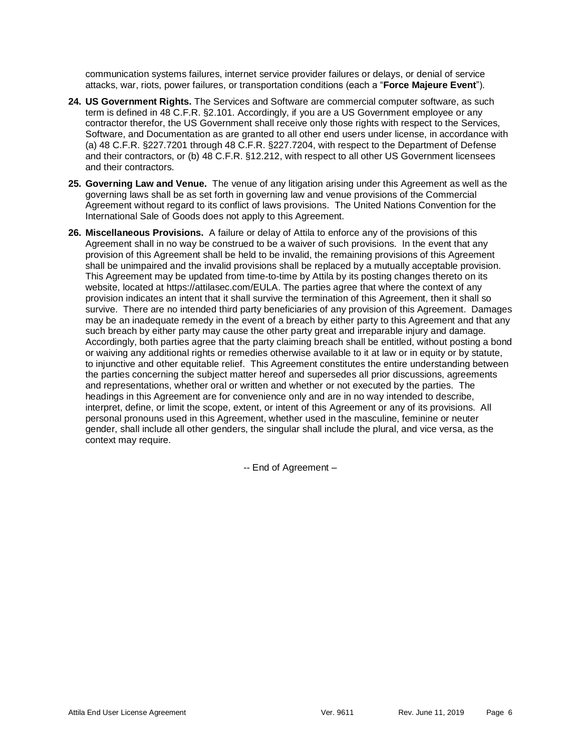communication systems failures, internet service provider failures or delays, or denial of service attacks, war, riots, power failures, or transportation conditions (each a "**Force Majeure Event**").

- **24. US Government Rights.** The Services and Software are commercial computer software, as such term is defined in 48 C.F.R. §2.101. Accordingly, if you are a US Government employee or any contractor therefor, the US Government shall receive only those rights with respect to the Services, Software, and Documentation as are granted to all other end users under license, in accordance with (a) 48 C.F.R. §227.7201 through 48 C.F.R. §227.7204, with respect to the Department of Defense and their contractors, or (b) 48 C.F.R. §12.212, with respect to all other US Government licensees and their contractors.
- **25. Governing Law and Venue.** The venue of any litigation arising under this Agreement as well as the governing laws shall be as set forth in governing law and venue provisions of the Commercial Agreement without regard to its conflict of laws provisions. The United Nations Convention for the International Sale of Goods does not apply to this Agreement.
- **26. Miscellaneous Provisions.** A failure or delay of Attila to enforce any of the provisions of this Agreement shall in no way be construed to be a waiver of such provisions. In the event that any provision of this Agreement shall be held to be invalid, the remaining provisions of this Agreement shall be unimpaired and the invalid provisions shall be replaced by a mutually acceptable provision. This Agreement may be updated from time-to-time by Attila by its posting changes thereto on its website, located at https://attilasec.com/EULA. The parties agree that where the context of any provision indicates an intent that it shall survive the termination of this Agreement, then it shall so survive. There are no intended third party beneficiaries of any provision of this Agreement. Damages may be an inadequate remedy in the event of a breach by either party to this Agreement and that any such breach by either party may cause the other party great and irreparable injury and damage. Accordingly, both parties agree that the party claiming breach shall be entitled, without posting a bond or waiving any additional rights or remedies otherwise available to it at law or in equity or by statute, to injunctive and other equitable relief. This Agreement constitutes the entire understanding between the parties concerning the subject matter hereof and supersedes all prior discussions, agreements and representations, whether oral or written and whether or not executed by the parties. The headings in this Agreement are for convenience only and are in no way intended to describe, interpret, define, or limit the scope, extent, or intent of this Agreement or any of its provisions. All personal pronouns used in this Agreement, whether used in the masculine, feminine or neuter gender, shall include all other genders, the singular shall include the plural, and vice versa, as the context may require.

-- End of Agreement –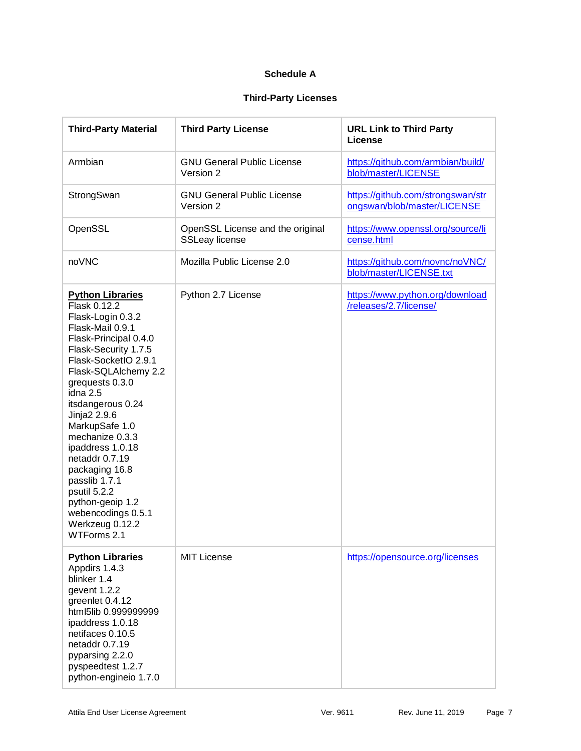## **Schedule A**

## **Third-Party Licenses**

| <b>Third-Party Material</b>                                                                                                                                                                                                                                                                                                                                                                                                                                     | <b>Third Party License</b>                                | <b>URL Link to Third Party</b><br>License                        |
|-----------------------------------------------------------------------------------------------------------------------------------------------------------------------------------------------------------------------------------------------------------------------------------------------------------------------------------------------------------------------------------------------------------------------------------------------------------------|-----------------------------------------------------------|------------------------------------------------------------------|
| Armbian                                                                                                                                                                                                                                                                                                                                                                                                                                                         | <b>GNU General Public License</b><br>Version 2            | https://github.com/armbian/build/<br>blob/master/LICENSE         |
| StrongSwan                                                                                                                                                                                                                                                                                                                                                                                                                                                      | <b>GNU General Public License</b><br>Version 2            | https://github.com/strongswan/str<br>ongswan/blob/master/LICENSE |
| OpenSSL                                                                                                                                                                                                                                                                                                                                                                                                                                                         | OpenSSL License and the original<br><b>SSLeay license</b> | https://www.openssl.org/source/li<br>cense.html                  |
| noVNC                                                                                                                                                                                                                                                                                                                                                                                                                                                           | Mozilla Public License 2.0                                | https://github.com/novnc/noVNC/<br>blob/master/LICENSE.txt       |
| <b>Python Libraries</b><br>Flask 0.12.2<br>Flask-Login 0.3.2<br>Flask-Mail 0.9.1<br>Flask-Principal 0.4.0<br>Flask-Security 1.7.5<br>Flask-SocketIO 2.9.1<br>Flask-SQLAlchemy 2.2<br>grequests 0.3.0<br>idna 2.5<br>itsdangerous 0.24<br>Jinja2 2.9.6<br>MarkupSafe 1.0<br>mechanize 0.3.3<br>ipaddress 1.0.18<br>netaddr 0.7.19<br>packaging 16.8<br>passlib 1.7.1<br>psutil 5.2.2<br>python-geoip 1.2<br>webencodings 0.5.1<br>Werkzeug 0.12.2<br>WTForms 2.1 | Python 2.7 License                                        | https://www.python.org/download<br>/releases/2.7/license/        |
| <b>Python Libraries</b><br>Appdirs 1.4.3<br>blinker 1.4<br>gevent 1.2.2<br>greenlet 0.4.12<br>html5lib 0.999999999<br>ipaddress 1.0.18<br>netifaces 0.10.5<br>netaddr 0.7.19<br>pyparsing 2.2.0<br>pyspeedtest 1.2.7<br>python-engineio 1.7.0                                                                                                                                                                                                                   | <b>MIT License</b>                                        | https://opensource.org/licenses                                  |